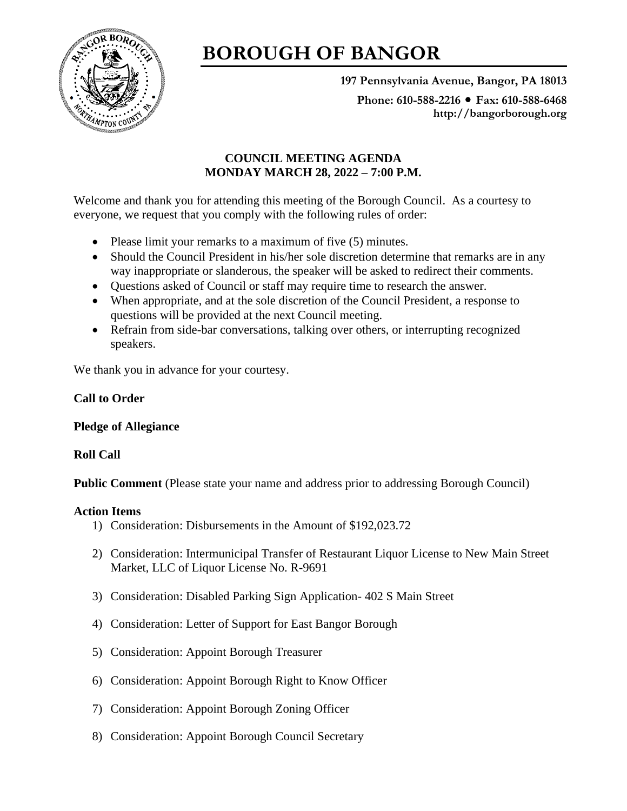

# **BOROUGH OF BANGOR**

**197 Pennsylvania Avenue, Bangor, PA 18013**

Phone: 610-588-2216 ● Fax: 610-588-6468 **http://bangorborough.org**

# **COUNCIL MEETING AGENDA MONDAY MARCH 28, 2022 – 7:00 P.M.**

Welcome and thank you for attending this meeting of the Borough Council. As a courtesy to everyone, we request that you comply with the following rules of order:

- Please limit your remarks to a maximum of five (5) minutes.
- Should the Council President in his/her sole discretion determine that remarks are in any way inappropriate or slanderous, the speaker will be asked to redirect their comments.
- Questions asked of Council or staff may require time to research the answer.
- When appropriate, and at the sole discretion of the Council President, a response to questions will be provided at the next Council meeting.
- Refrain from side-bar conversations, talking over others, or interrupting recognized speakers.

We thank you in advance for your courtesy.

# **Call to Order**

## **Pledge of Allegiance**

## **Roll Call**

**Public Comment** (Please state your name and address prior to addressing Borough Council)

## **Action Items**

- 1) Consideration: Disbursements in the Amount of \$192,023.72
- 2) Consideration: Intermunicipal Transfer of Restaurant Liquor License to New Main Street Market, LLC of Liquor License No. R-9691
- 3) Consideration: Disabled Parking Sign Application- 402 S Main Street
- 4) Consideration: Letter of Support for East Bangor Borough
- 5) Consideration: Appoint Borough Treasurer
- 6) Consideration: Appoint Borough Right to Know Officer
- 7) Consideration: Appoint Borough Zoning Officer
- 8) Consideration: Appoint Borough Council Secretary